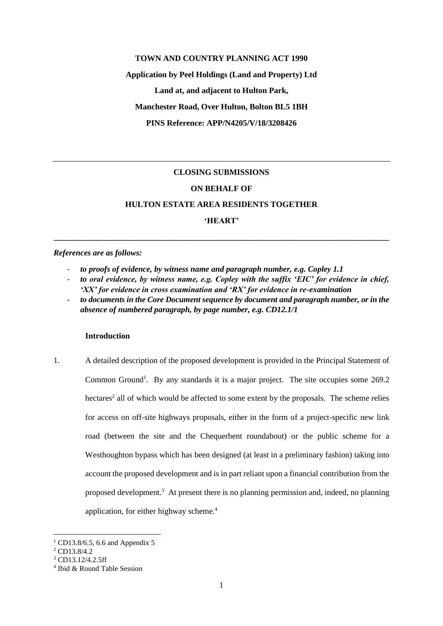### **TOWN AND COUNTRY PLANNING ACT 1990**

**Application by Peel Holdings (Land and Property) Ltd Land at, and adjacent to Hulton Park, Manchester Road, Over Hulton, Bolton BL5 1BH PINS Reference: APP/N4205/V/18/3208426**

## **CLOSING SUBMISSIONS**

## **ON BEHALF OF**

## **HULTON ESTATE AREA RESIDENTS TOGETHER**

**'HEART'**

**\_\_\_\_\_\_\_\_\_\_\_\_\_\_\_\_\_\_\_\_\_\_\_\_\_\_\_\_\_\_\_\_\_\_\_\_\_\_\_\_\_\_\_\_\_\_\_\_\_\_\_\_\_\_\_\_\_\_\_\_\_\_\_\_\_\_\_\_\_\_\_\_\_\_\_\_\_\_\_\_\_\_**

#### *References are as follows:*

- to proofs of evidence, by witness name and paragraph number, e.g. Copley 1.1
- *to oral evidence, by witness name, e.g. Copley with the suffix 'EIC' for evidence in chief, 'XX' for evidence in cross examination and 'RX' for evidence in re-examination*
- to documents in the Core Document sequence by document and paragraph number, or in the *absence of numbered paragraph, by page number, e.g. CD12.1/1*

### **Introduction**

1. A detailed description of the proposed development is provided in the Principal Statement of Common Ground<sup>1</sup>. By any standards it is a major project. The site occupies some 269.2 hectares<sup>2</sup> all of which would be affected to some extent by the proposals. The scheme relies for access on off-site highways proposals, either in the form of a project-specific new link road (between the site and the Chequerbent roundabout) or the public scheme for a Westhoughton bypass which has been designed (at least in a preliminary fashion) taking into account the proposed development and is in part reliant upon a financial contribution from the proposed development.<sup>3</sup> At present there is no planning permission and, indeed, no planning application, for either highway scheme.<sup>4</sup>

<sup>&</sup>lt;sup>1</sup> CD13.8/6.5, 6.6 and Appendix 5

<sup>2</sup> CD13.8/4.2

 $3$  CD13.12/4.2.5ff

<sup>4</sup> Ibid & Round Table Session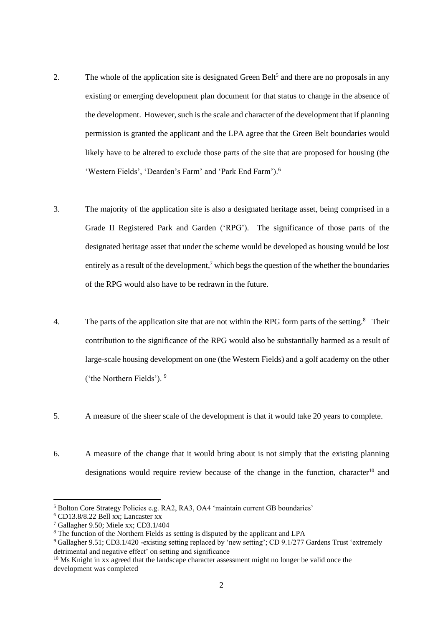- 2. The whole of the application site is designated Green Belt<sup>5</sup> and there are no proposals in any existing or emerging development plan document for that status to change in the absence of the development. However, such is the scale and character of the development that if planning permission is granted the applicant and the LPA agree that the Green Belt boundaries would likely have to be altered to exclude those parts of the site that are proposed for housing (the 'Western Fields', 'Dearden's Farm' and 'Park End Farm').<sup>6</sup>
- 3. The majority of the application site is also a designated heritage asset, being comprised in a Grade II Registered Park and Garden ('RPG'). The significance of those parts of the designated heritage asset that under the scheme would be developed as housing would be lost entirely as a result of the development,<sup>7</sup> which begs the question of the whether the boundaries of the RPG would also have to be redrawn in the future.
- 4. The parts of the application site that are not within the RPG form parts of the setting.<sup>8</sup> Their contribution to the significance of the RPG would also be substantially harmed as a result of large-scale housing development on one (the Western Fields) and a golf academy on the other ('the Northern Fields'). <sup>9</sup>
- 5. A measure of the sheer scale of the development is that it would take 20 years to complete.
- 6. A measure of the change that it would bring about is not simply that the existing planning designations would require review because of the change in the function, character<sup>10</sup> and

<sup>5</sup> Bolton Core Strategy Policies e.g. RA2, RA3, OA4 'maintain current GB boundaries'

 $6$  CD13.8/8.22 Bell xx; Lancaster xx

<sup>7</sup> Gallagher 9.50; Miele xx; CD3.1/404

<sup>8</sup> The function of the Northern Fields as setting is disputed by the applicant and LPA

<sup>9</sup> Gallagher 9.51; CD3.1/420 -existing setting replaced by 'new setting'; CD 9.1/277 Gardens Trust 'extremely detrimental and negative effect' on setting and significance

 $10$  Ms Knight in xx agreed that the landscape character assessment might no longer be valid once the development was completed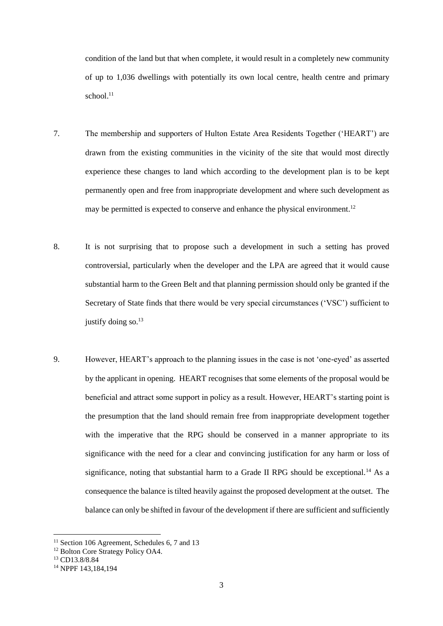condition of the land but that when complete, it would result in a completely new community of up to 1,036 dwellings with potentially its own local centre, health centre and primary school. 11

- 7. The membership and supporters of Hulton Estate Area Residents Together ('HEART') are drawn from the existing communities in the vicinity of the site that would most directly experience these changes to land which according to the development plan is to be kept permanently open and free from inappropriate development and where such development as may be permitted is expected to conserve and enhance the physical environment.<sup>12</sup>
- 8. It is not surprising that to propose such a development in such a setting has proved controversial, particularly when the developer and the LPA are agreed that it would cause substantial harm to the Green Belt and that planning permission should only be granted if the Secretary of State finds that there would be very special circumstances ('VSC') sufficient to justify doing so. $13$
- 9. However, HEART's approach to the planning issues in the case is not 'one-eyed' as asserted by the applicant in opening. HEART recognises that some elements of the proposal would be beneficial and attract some support in policy as a result. However, HEART's starting point is the presumption that the land should remain free from inappropriate development together with the imperative that the RPG should be conserved in a manner appropriate to its significance with the need for a clear and convincing justification for any harm or loss of significance, noting that substantial harm to a Grade II RPG should be exceptional.<sup>14</sup> As a consequence the balance is tilted heavily against the proposed development at the outset. The balance can only be shifted in favour of the development if there are sufficient and sufficiently

<sup>&</sup>lt;sup>11</sup> Section 106 Agreement, Schedules 6, 7 and 13

<sup>&</sup>lt;sup>12</sup> Bolton Core Strategy Policy OA4.

<sup>13</sup> CD13.8/8.84

<sup>14</sup> NPPF 143,184,194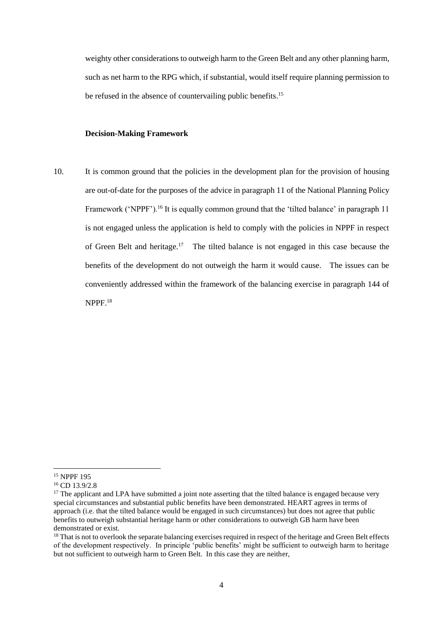weighty other considerations to outweigh harm to the Green Belt and any other planning harm, such as net harm to the RPG which, if substantial, would itself require planning permission to be refused in the absence of countervailing public benefits.<sup>15</sup>

## **Decision-Making Framework**

10. It is common ground that the policies in the development plan for the provision of housing are out-of-date for the purposes of the advice in paragraph 11 of the National Planning Policy Framework ('NPPF').<sup>16</sup> It is equally common ground that the 'tilted balance' in paragraph 11 is not engaged unless the application is held to comply with the policies in NPPF in respect of Green Belt and heritage.<sup>17</sup> The tilted balance is not engaged in this case because the benefits of the development do not outweigh the harm it would cause. The issues can be conveniently addressed within the framework of the balancing exercise in paragraph 144 of NPPF.<sup>18</sup>

<sup>15</sup> NPPF 195

<sup>16</sup> CD 13.9/2.8

 $17$  The applicant and LPA have submitted a joint note asserting that the tilted balance is engaged because very special circumstances and substantial public benefits have been demonstrated. HEART agrees in terms of approach (i.e. that the tilted balance would be engaged in such circumstances) but does not agree that public benefits to outweigh substantial heritage harm or other considerations to outweigh GB harm have been demonstrated or exist.

<sup>&</sup>lt;sup>18</sup> That is not to overlook the separate balancing exercises required in respect of the heritage and Green Belt effects of the development respectively. In principle 'public benefits' might be sufficient to outweigh harm to heritage but not sufficient to outweigh harm to Green Belt. In this case they are neither,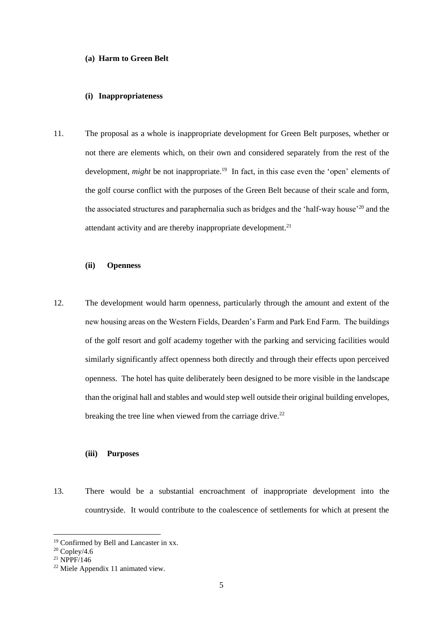### **(a) Harm to Green Belt**

## **(i) Inappropriateness**

11. The proposal as a whole is inappropriate development for Green Belt purposes, whether or not there are elements which, on their own and considered separately from the rest of the development, *might* be not inappropriate.<sup>19</sup> In fact, in this case even the 'open' elements of the golf course conflict with the purposes of the Green Belt because of their scale and form, the associated structures and paraphernalia such as bridges and the 'half-way house'<sup>20</sup> and the attendant activity and are thereby inappropriate development.<sup>21</sup>

# **(ii) Openness**

12. The development would harm openness, particularly through the amount and extent of the new housing areas on the Western Fields, Dearden's Farm and Park End Farm. The buildings of the golf resort and golf academy together with the parking and servicing facilities would similarly significantly affect openness both directly and through their effects upon perceived openness. The hotel has quite deliberately been designed to be more visible in the landscape than the original hall and stables and would step well outside their original building envelopes, breaking the tree line when viewed from the carriage drive.<sup>22</sup>

# **(iii) Purposes**

13. There would be a substantial encroachment of inappropriate development into the countryside. It would contribute to the coalescence of settlements for which at present the

<sup>&</sup>lt;sup>19</sup> Confirmed by Bell and Lancaster in xx.

 $20$  Copley/4.6

 $^{21}$  NPPF/146

<sup>22</sup> Miele Appendix 11 animated view.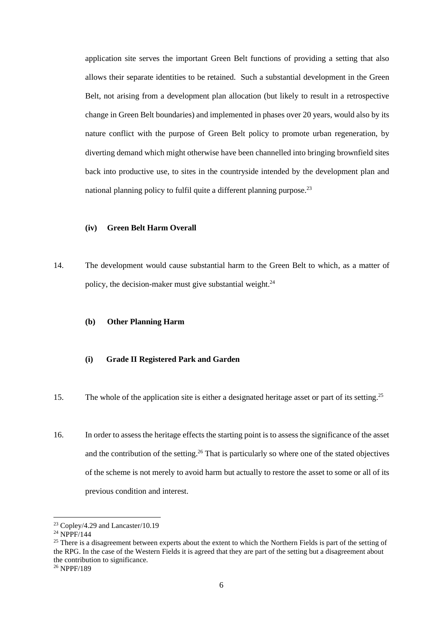application site serves the important Green Belt functions of providing a setting that also allows their separate identities to be retained. Such a substantial development in the Green Belt, not arising from a development plan allocation (but likely to result in a retrospective change in Green Belt boundaries) and implemented in phases over 20 years, would also by its nature conflict with the purpose of Green Belt policy to promote urban regeneration, by diverting demand which might otherwise have been channelled into bringing brownfield sites back into productive use, to sites in the countryside intended by the development plan and national planning policy to fulfil quite a different planning purpose.<sup>23</sup>

# **(iv) Green Belt Harm Overall**

14. The development would cause substantial harm to the Green Belt to which, as a matter of policy, the decision-maker must give substantial weight. $24$ 

## **(b) Other Planning Harm**

# **(i) Grade II Registered Park and Garden**

- 15. The whole of the application site is either a designated heritage asset or part of its setting.<sup>25</sup>
- 16. In order to assess the heritage effects the starting point is to assess the significance of the asset and the contribution of the setting.<sup>26</sup> That is particularly so where one of the stated objectives of the scheme is not merely to avoid harm but actually to restore the asset to some or all of its previous condition and interest.

<sup>&</sup>lt;sup>23</sup> Copley/4.29 and Lancaster/10.19

<sup>&</sup>lt;sup>24</sup> NPPF/144

 $25$  There is a disagreement between experts about the extent to which the Northern Fields is part of the setting of the RPG. In the case of the Western Fields it is agreed that they are part of the setting but a disagreement about the contribution to significance.

<sup>26</sup> NPPF/189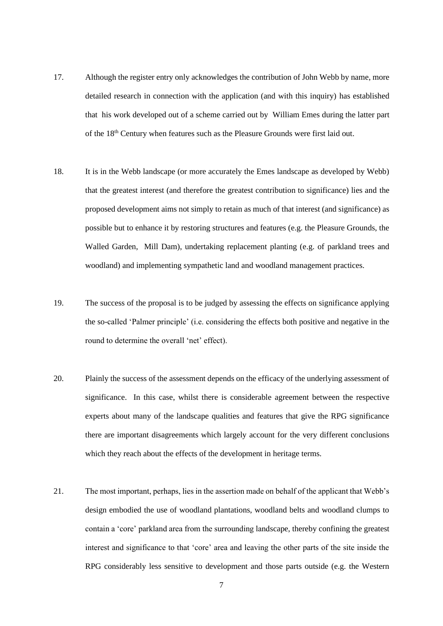- 17. Although the register entry only acknowledges the contribution of John Webb by name, more detailed research in connection with the application (and with this inquiry) has established that his work developed out of a scheme carried out by William Emes during the latter part of the 18<sup>th</sup> Century when features such as the Pleasure Grounds were first laid out.
- 18. It is in the Webb landscape (or more accurately the Emes landscape as developed by Webb) that the greatest interest (and therefore the greatest contribution to significance) lies and the proposed development aims not simply to retain as much of that interest (and significance) as possible but to enhance it by restoring structures and features (e.g. the Pleasure Grounds, the Walled Garden, Mill Dam), undertaking replacement planting (e.g. of parkland trees and woodland) and implementing sympathetic land and woodland management practices.
- 19. The success of the proposal is to be judged by assessing the effects on significance applying the so-called 'Palmer principle' (i.e. considering the effects both positive and negative in the round to determine the overall 'net' effect).
- 20. Plainly the success of the assessment depends on the efficacy of the underlying assessment of significance. In this case, whilst there is considerable agreement between the respective experts about many of the landscape qualities and features that give the RPG significance there are important disagreements which largely account for the very different conclusions which they reach about the effects of the development in heritage terms.
- 21. The most important, perhaps, lies in the assertion made on behalf of the applicant that Webb's design embodied the use of woodland plantations, woodland belts and woodland clumps to contain a 'core' parkland area from the surrounding landscape, thereby confining the greatest interest and significance to that 'core' area and leaving the other parts of the site inside the RPG considerably less sensitive to development and those parts outside (e.g. the Western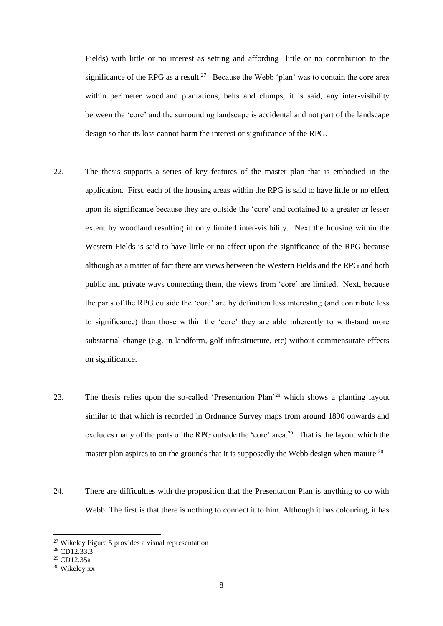Fields) with little or no interest as setting and affording little or no contribution to the significance of the RPG as a result.<sup>27</sup> Because the Webb 'plan' was to contain the core area within perimeter woodland plantations, belts and clumps, it is said, any inter-visibility between the 'core' and the surrounding landscape is accidental and not part of the landscape design so that its loss cannot harm the interest or significance of the RPG.

- 22. The thesis supports a series of key features of the master plan that is embodied in the application. First, each of the housing areas within the RPG is said to have little or no effect upon its significance because they are outside the 'core' and contained to a greater or lesser extent by woodland resulting in only limited inter-visibility. Next the housing within the Western Fields is said to have little or no effect upon the significance of the RPG because although as a matter of fact there are views between the Western Fields and the RPG and both public and private ways connecting them, the views from 'core' are limited. Next, because the parts of the RPG outside the 'core' are by definition less interesting (and contribute less to significance) than those within the 'core' they are able inherently to withstand more substantial change (e.g. in landform, golf infrastructure, etc) without commensurate effects on significance.
- 23. The thesis relies upon the so-called 'Presentation Plan'<sup>28</sup> which shows a planting layout similar to that which is recorded in Ordnance Survey maps from around 1890 onwards and excludes many of the parts of the RPG outside the 'core' area.<sup>29</sup> That is the layout which the master plan aspires to on the grounds that it is supposedly the Webb design when mature.<sup>30</sup>
- 24. There are difficulties with the proposition that the Presentation Plan is anything to do with Webb. The first is that there is nothing to connect it to him. Although it has colouring, it has

<sup>27</sup> Wikeley Figure 5 provides a visual representation

<sup>28</sup> CD12.33.3

<sup>29</sup> CD12.35a

<sup>30</sup> Wikeley xx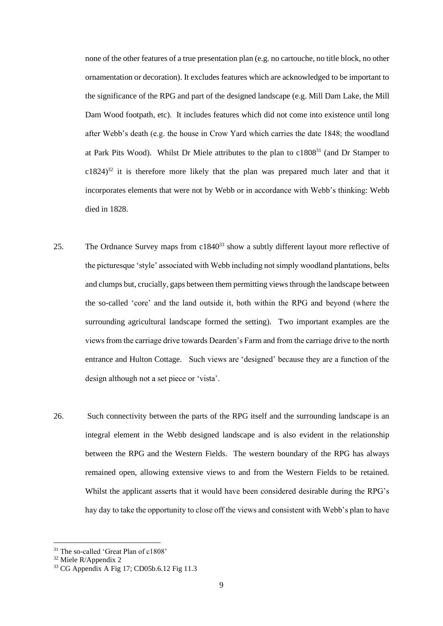none of the other features of a true presentation plan (e.g. no cartouche, no title block, no other ornamentation or decoration). It excludes features which are acknowledged to be important to the significance of the RPG and part of the designed landscape (e.g. Mill Dam Lake, the Mill Dam Wood footpath, etc). It includes features which did not come into existence until long after Webb's death (e.g. the house in Crow Yard which carries the date 1848; the woodland at Park Pits Wood). Whilst Dr Miele attributes to the plan to c1808<sup>31</sup> (and Dr Stamper to  $c1824$ <sup>32</sup> it is therefore more likely that the plan was prepared much later and that it incorporates elements that were not by Webb or in accordance with Webb's thinking: Webb died in 1828.

- 25. The Ordnance Survey maps from c1840<sup>33</sup> show a subtly different layout more reflective of the picturesque 'style' associated with Webb including not simply woodland plantations, belts and clumps but, crucially, gaps between them permitting views through the landscape between the so-called 'core' and the land outside it, both within the RPG and beyond (where the surrounding agricultural landscape formed the setting). Two important examples are the views from the carriage drive towards Dearden's Farm and from the carriage drive to the north entrance and Hulton Cottage. Such views are 'designed' because they are a function of the design although not a set piece or 'vista'.
- 26. Such connectivity between the parts of the RPG itself and the surrounding landscape is an integral element in the Webb designed landscape and is also evident in the relationship between the RPG and the Western Fields. The western boundary of the RPG has always remained open, allowing extensive views to and from the Western Fields to be retained. Whilst the applicant asserts that it would have been considered desirable during the RPG's hay day to take the opportunity to close off the views and consistent with Webb's plan to have

<sup>31</sup> The so-called 'Great Plan of c1808'

<sup>32</sup> Miele R/Appendix 2

<sup>&</sup>lt;sup>33</sup> CG Appendix A Fig 17; CD05b.6.12 Fig 11.3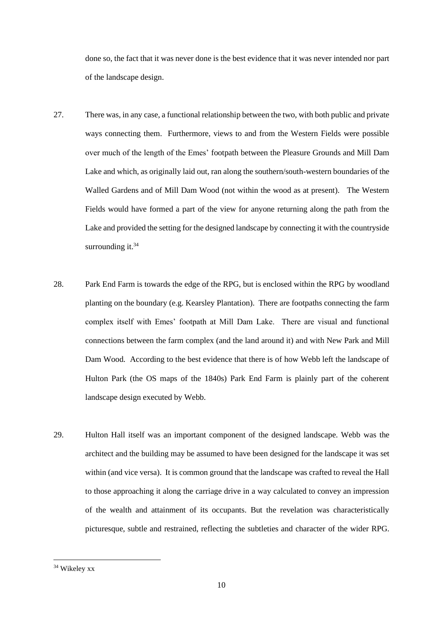done so, the fact that it was never done is the best evidence that it was never intended nor part of the landscape design.

- 27. There was, in any case, a functional relationship between the two, with both public and private ways connecting them. Furthermore, views to and from the Western Fields were possible over much of the length of the Emes' footpath between the Pleasure Grounds and Mill Dam Lake and which, as originally laid out, ran along the southern/south-western boundaries of the Walled Gardens and of Mill Dam Wood (not within the wood as at present). The Western Fields would have formed a part of the view for anyone returning along the path from the Lake and provided the setting for the designed landscape by connecting it with the countryside surrounding it. $34$
- 28. Park End Farm is towards the edge of the RPG, but is enclosed within the RPG by woodland planting on the boundary (e.g. Kearsley Plantation). There are footpaths connecting the farm complex itself with Emes' footpath at Mill Dam Lake. There are visual and functional connections between the farm complex (and the land around it) and with New Park and Mill Dam Wood. According to the best evidence that there is of how Webb left the landscape of Hulton Park (the OS maps of the 1840s) Park End Farm is plainly part of the coherent landscape design executed by Webb.
- 29. Hulton Hall itself was an important component of the designed landscape. Webb was the architect and the building may be assumed to have been designed for the landscape it was set within (and vice versa). It is common ground that the landscape was crafted to reveal the Hall to those approaching it along the carriage drive in a way calculated to convey an impression of the wealth and attainment of its occupants. But the revelation was characteristically picturesque, subtle and restrained, reflecting the subtleties and character of the wider RPG.

<sup>34</sup> Wikeley xx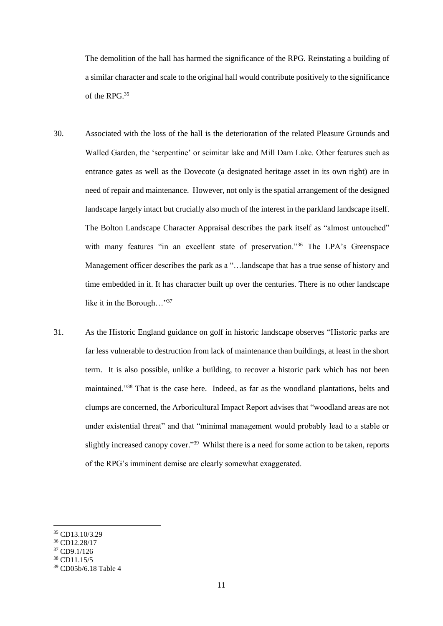The demolition of the hall has harmed the significance of the RPG. Reinstating a building of a similar character and scale to the original hall would contribute positively to the significance of the RPG.<sup>35</sup>

- 30. Associated with the loss of the hall is the deterioration of the related Pleasure Grounds and Walled Garden, the 'serpentine' or scimitar lake and Mill Dam Lake. Other features such as entrance gates as well as the Dovecote (a designated heritage asset in its own right) are in need of repair and maintenance. However, not only is the spatial arrangement of the designed landscape largely intact but crucially also much of the interest in the parkland landscape itself. The Bolton Landscape Character Appraisal describes the park itself as "almost untouched" with many features "in an excellent state of preservation."<sup>36</sup> The LPA's Greenspace Management officer describes the park as a "…landscape that has a true sense of history and time embedded in it. It has character built up over the centuries. There is no other landscape like it in the Borough..."<sup>37</sup>
- 31. As the Historic England guidance on golf in historic landscape observes "Historic parks are far less vulnerable to destruction from lack of maintenance than buildings, at least in the short term. It is also possible, unlike a building, to recover a historic park which has not been maintained."<sup>38</sup> That is the case here. Indeed, as far as the woodland plantations, belts and clumps are concerned, the Arboricultural Impact Report advises that "woodland areas are not under existential threat" and that "minimal management would probably lead to a stable or slightly increased canopy cover."<sup>39</sup> Whilst there is a need for some action to be taken, reports of the RPG's imminent demise are clearly somewhat exaggerated.

<sup>38</sup> CD11.15/5

<sup>35</sup> CD13.10/3.29

<sup>36</sup> CD12.28/17

<sup>37</sup> CD9.1/126

<sup>39</sup> CD05b/6.18 Table 4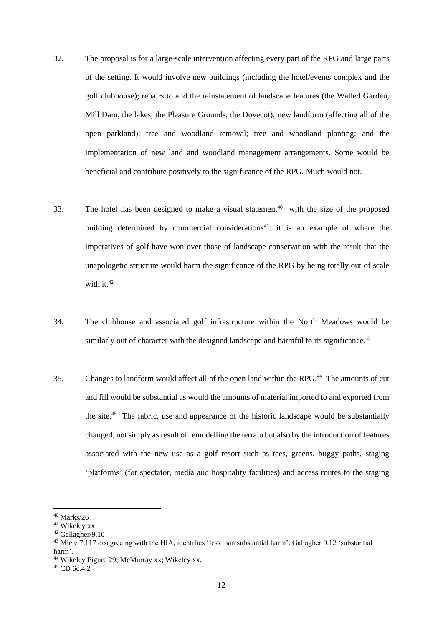- 32. The proposal is for a large-scale intervention affecting every part of the RPG and large parts of the setting. It would involve new buildings (including the hotel/events complex and the golf clubhouse); repairs to and the reinstatement of landscape features (the Walled Garden, Mill Dam, the lakes, the Pleasure Grounds, the Dovecot); new landform (affecting all of the open parkland); tree and woodland removal; tree and woodland planting; and the implementation of new land and woodland management arrangements. Some would be beneficial and contribute positively to the significance of the RPG. Much would not.
- 33. The hotel has been designed to make a visual statement<sup>40</sup> with the size of the proposed building determined by commercial considerations<sup>41</sup>: it is an example of where the imperatives of golf have won over those of landscape conservation with the result that the unapologetic structure would harm the significance of the RPG by being totally out of scale with it  $42$
- 34. The clubhouse and associated golf infrastructure within the North Meadows would be similarly out of character with the designed landscape and harmful to its significance.<sup>43</sup>
- 35. Changes to landform would affect all of the open land within the RPG.<sup>44</sup> The amounts of cut and fill would be substantial as would the amounts of material imported to and exported from the site.<sup>45</sup> The fabric, use and appearance of the historic landscape would be substantially changed, not simply as result of remodelling the terrain but also by the introduction of features associated with the new use as a golf resort such as tees, greens, buggy paths, staging 'platforms' (for spectator, media and hospitality facilities) and access routes to the staging

 $^{40}$  Marks/26  $\,$ 

<sup>41</sup> Wikeley xx

<sup>42</sup> Gallagher/9.10

<sup>43</sup> Miele 7.117 disagreeing with the HIA, identifies 'less than substantial harm'. Gallagher 9.12 'substantial harm'.

<sup>44</sup> Wikeley Figure 29; McMurray xx; Wikeley xx.

 $45$  CD 6c. 4.2.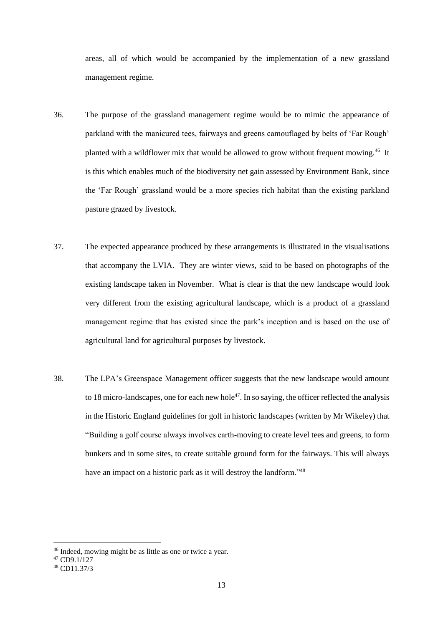areas, all of which would be accompanied by the implementation of a new grassland management regime.

- 36. The purpose of the grassland management regime would be to mimic the appearance of parkland with the manicured tees, fairways and greens camouflaged by belts of 'Far Rough' planted with a wildflower mix that would be allowed to grow without frequent mowing.<sup>46</sup> It is this which enables much of the biodiversity net gain assessed by Environment Bank, since the 'Far Rough' grassland would be a more species rich habitat than the existing parkland pasture grazed by livestock.
- 37. The expected appearance produced by these arrangements is illustrated in the visualisations that accompany the LVIA. They are winter views, said to be based on photographs of the existing landscape taken in November. What is clear is that the new landscape would look very different from the existing agricultural landscape, which is a product of a grassland management regime that has existed since the park's inception and is based on the use of agricultural land for agricultural purposes by livestock.
- 38. The LPA's Greenspace Management officer suggests that the new landscape would amount to 18 micro-landscapes, one for each new hole<sup>47</sup>. In so saying, the officer reflected the analysis in the Historic England guidelines for golf in historic landscapes (written by Mr Wikeley) that "Building a golf course always involves earth-moving to create level tees and greens, to form bunkers and in some sites, to create suitable ground form for the fairways. This will always have an impact on a historic park as it will destroy the landform."<sup>48</sup>

<sup>46</sup> Indeed, mowing might be as little as one or twice a year.

<sup>47</sup> CD9.1/127

<sup>48</sup> CD11.37/3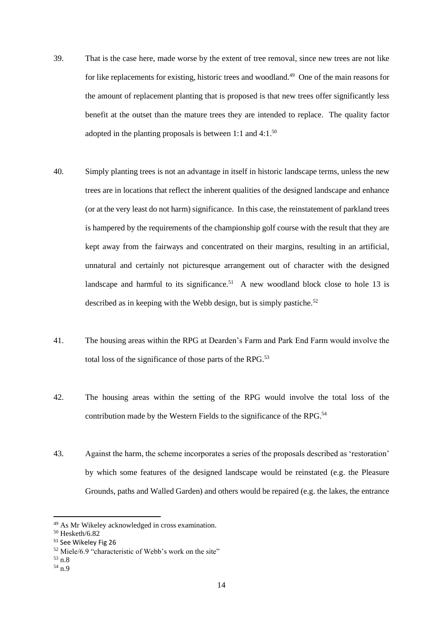- 39. That is the case here, made worse by the extent of tree removal, since new trees are not like for like replacements for existing, historic trees and woodland.<sup>49</sup> One of the main reasons for the amount of replacement planting that is proposed is that new trees offer significantly less benefit at the outset than the mature trees they are intended to replace. The quality factor adopted in the planting proposals is between 1:1 and 4:1. $50$
- 40. Simply planting trees is not an advantage in itself in historic landscape terms, unless the new trees are in locations that reflect the inherent qualities of the designed landscape and enhance (or at the very least do not harm) significance. In this case, the reinstatement of parkland trees is hampered by the requirements of the championship golf course with the result that they are kept away from the fairways and concentrated on their margins, resulting in an artificial, unnatural and certainly not picturesque arrangement out of character with the designed landscape and harmful to its significance.<sup>51</sup> A new woodland block close to hole 13 is described as in keeping with the Webb design, but is simply pastiche.<sup>52</sup>
- 41. The housing areas within the RPG at Dearden's Farm and Park End Farm would involve the total loss of the significance of those parts of the RPG.<sup>53</sup>
- 42. The housing areas within the setting of the RPG would involve the total loss of the contribution made by the Western Fields to the significance of the RPG.<sup>54</sup>
- 43. Against the harm, the scheme incorporates a series of the proposals described as 'restoration' by which some features of the designed landscape would be reinstated (e.g. the Pleasure Grounds, paths and Walled Garden) and others would be repaired (e.g. the lakes, the entrance

<sup>49</sup> As Mr Wikeley acknowledged in cross examination.

<sup>50</sup> Hesketh/6.82

<sup>51</sup> See Wikeley Fig 26

<sup>52</sup> Miele/6.9 "characteristic of Webb's work on the site"

<sup>53</sup> n.8

<sup>54</sup> n.9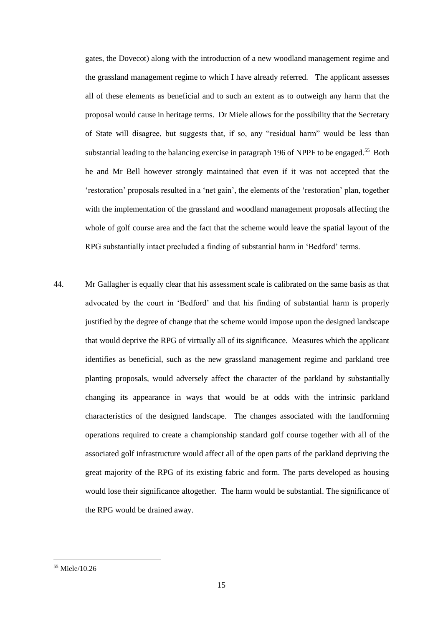gates, the Dovecot) along with the introduction of a new woodland management regime and the grassland management regime to which I have already referred. The applicant assesses all of these elements as beneficial and to such an extent as to outweigh any harm that the proposal would cause in heritage terms. Dr Miele allows for the possibility that the Secretary of State will disagree, but suggests that, if so, any "residual harm" would be less than substantial leading to the balancing exercise in paragraph 196 of NPPF to be engaged.<sup>55</sup> Both he and Mr Bell however strongly maintained that even if it was not accepted that the 'restoration' proposals resulted in a 'net gain', the elements of the 'restoration' plan, together with the implementation of the grassland and woodland management proposals affecting the whole of golf course area and the fact that the scheme would leave the spatial layout of the RPG substantially intact precluded a finding of substantial harm in 'Bedford' terms.

44. Mr Gallagher is equally clear that his assessment scale is calibrated on the same basis as that advocated by the court in 'Bedford' and that his finding of substantial harm is properly justified by the degree of change that the scheme would impose upon the designed landscape that would deprive the RPG of virtually all of its significance. Measures which the applicant identifies as beneficial, such as the new grassland management regime and parkland tree planting proposals, would adversely affect the character of the parkland by substantially changing its appearance in ways that would be at odds with the intrinsic parkland characteristics of the designed landscape. The changes associated with the landforming operations required to create a championship standard golf course together with all of the associated golf infrastructure would affect all of the open parts of the parkland depriving the great majority of the RPG of its existing fabric and form. The parts developed as housing would lose their significance altogether. The harm would be substantial. The significance of the RPG would be drained away.

<sup>55</sup> Miele/10.26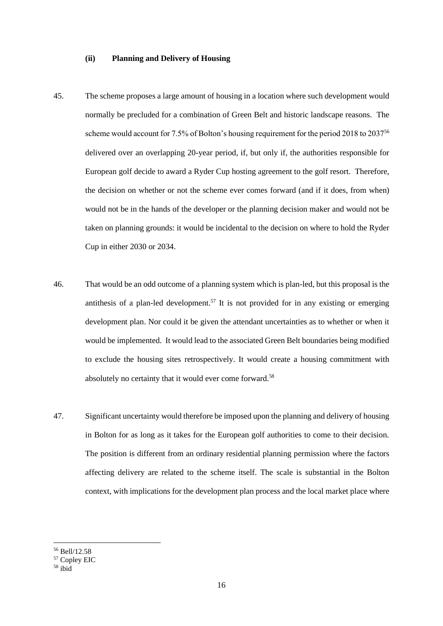### **(ii) Planning and Delivery of Housing**

- 45. The scheme proposes a large amount of housing in a location where such development would normally be precluded for a combination of Green Belt and historic landscape reasons. The scheme would account for 7.5% of Bolton's housing requirement for the period 2018 to 2037<sup>56</sup> delivered over an overlapping 20-year period, if, but only if, the authorities responsible for European golf decide to award a Ryder Cup hosting agreement to the golf resort. Therefore, the decision on whether or not the scheme ever comes forward (and if it does, from when) would not be in the hands of the developer or the planning decision maker and would not be taken on planning grounds: it would be incidental to the decision on where to hold the Ryder Cup in either 2030 or 2034.
- 46. That would be an odd outcome of a planning system which is plan-led, but this proposal is the antithesis of a plan-led development.<sup>57</sup> It is not provided for in any existing or emerging development plan. Nor could it be given the attendant uncertainties as to whether or when it would be implemented. It would lead to the associated Green Belt boundaries being modified to exclude the housing sites retrospectively. It would create a housing commitment with absolutely no certainty that it would ever come forward.<sup>58</sup>
- 47. Significant uncertainty would therefore be imposed upon the planning and delivery of housing in Bolton for as long as it takes for the European golf authorities to come to their decision. The position is different from an ordinary residential planning permission where the factors affecting delivery are related to the scheme itself. The scale is substantial in the Bolton context, with implications for the development plan process and the local market place where

<sup>56</sup> Bell/12.58

<sup>57</sup> Copley EIC

 $58$  ibid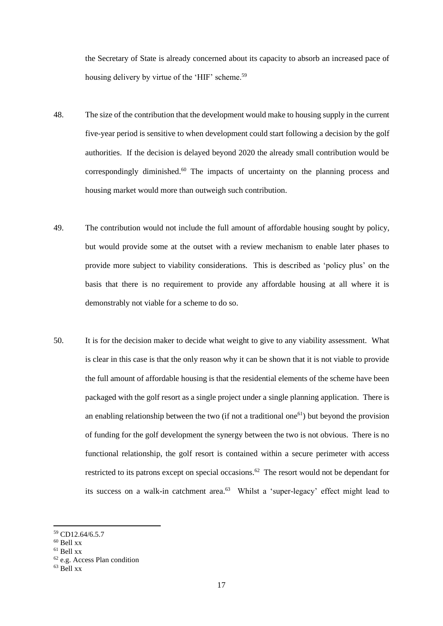the Secretary of State is already concerned about its capacity to absorb an increased pace of housing delivery by virtue of the 'HIF' scheme.<sup>59</sup>

- 48. The size of the contribution that the development would make to housing supply in the current five-year period is sensitive to when development could start following a decision by the golf authorities. If the decision is delayed beyond 2020 the already small contribution would be correspondingly diminished.<sup>60</sup> The impacts of uncertainty on the planning process and housing market would more than outweigh such contribution.
- 49. The contribution would not include the full amount of affordable housing sought by policy, but would provide some at the outset with a review mechanism to enable later phases to provide more subject to viability considerations. This is described as 'policy plus' on the basis that there is no requirement to provide any affordable housing at all where it is demonstrably not viable for a scheme to do so.
- 50. It is for the decision maker to decide what weight to give to any viability assessment. What is clear in this case is that the only reason why it can be shown that it is not viable to provide the full amount of affordable housing is that the residential elements of the scheme have been packaged with the golf resort as a single project under a single planning application. There is an enabling relationship between the two (if not a traditional one<sup>61</sup>) but beyond the provision of funding for the golf development the synergy between the two is not obvious. There is no functional relationship, the golf resort is contained within a secure perimeter with access restricted to its patrons except on special occasions.<sup>62</sup> The resort would not be dependant for its success on a walk-in catchment area.<sup>63</sup> Whilst a 'super-legacy' effect might lead to

<sup>59</sup> CD12.64/6.5.7

<sup>60</sup> Bell xx

 $61$  Bell xx

<sup>62</sup> e.g. Access Plan condition

 $63$  Bell xx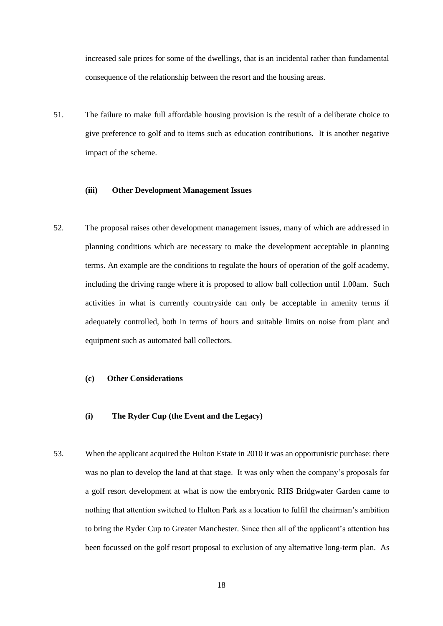increased sale prices for some of the dwellings, that is an incidental rather than fundamental consequence of the relationship between the resort and the housing areas.

51. The failure to make full affordable housing provision is the result of a deliberate choice to give preference to golf and to items such as education contributions. It is another negative impact of the scheme.

## **(iii) Other Development Management Issues**

52. The proposal raises other development management issues, many of which are addressed in planning conditions which are necessary to make the development acceptable in planning terms. An example are the conditions to regulate the hours of operation of the golf academy, including the driving range where it is proposed to allow ball collection until 1.00am. Such activities in what is currently countryside can only be acceptable in amenity terms if adequately controlled, both in terms of hours and suitable limits on noise from plant and equipment such as automated ball collectors.

## **(c) Other Considerations**

- **(i) The Ryder Cup (the Event and the Legacy)**
- 53. When the applicant acquired the Hulton Estate in 2010 it was an opportunistic purchase: there was no plan to develop the land at that stage. It was only when the company's proposals for a golf resort development at what is now the embryonic RHS Bridgwater Garden came to nothing that attention switched to Hulton Park as a location to fulfil the chairman's ambition to bring the Ryder Cup to Greater Manchester. Since then all of the applicant's attention has been focussed on the golf resort proposal to exclusion of any alternative long-term plan. As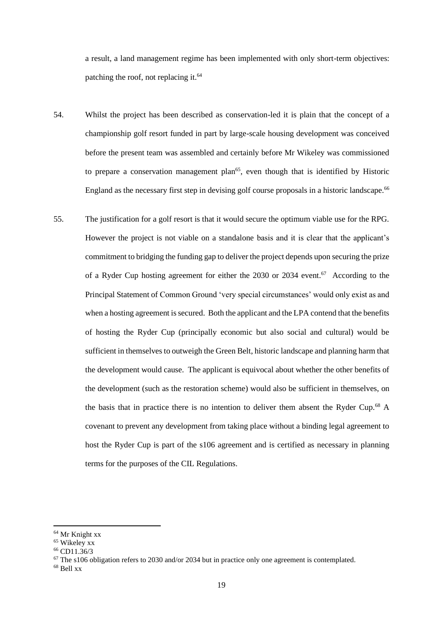a result, a land management regime has been implemented with only short-term objectives: patching the roof, not replacing it.<sup>64</sup>

- 54. Whilst the project has been described as conservation-led it is plain that the concept of a championship golf resort funded in part by large-scale housing development was conceived before the present team was assembled and certainly before Mr Wikeley was commissioned to prepare a conservation management plan<sup>65</sup>, even though that is identified by Historic England as the necessary first step in devising golf course proposals in a historic landscape.<sup>66</sup>
- 55. The justification for a golf resort is that it would secure the optimum viable use for the RPG. However the project is not viable on a standalone basis and it is clear that the applicant's commitment to bridging the funding gap to deliver the project depends upon securing the prize of a Ryder Cup hosting agreement for either the 2030 or 2034 event.<sup>67</sup> According to the Principal Statement of Common Ground 'very special circumstances' would only exist as and when a hosting agreement is secured. Both the applicant and the LPA contend that the benefits of hosting the Ryder Cup (principally economic but also social and cultural) would be sufficient in themselves to outweigh the Green Belt, historic landscape and planning harm that the development would cause. The applicant is equivocal about whether the other benefits of the development (such as the restoration scheme) would also be sufficient in themselves, on the basis that in practice there is no intention to deliver them absent the Ryder Cup.<sup>68</sup> A covenant to prevent any development from taking place without a binding legal agreement to host the Ryder Cup is part of the s106 agreement and is certified as necessary in planning terms for the purposes of the CIL Regulations.

<sup>64</sup> Mr Knight xx

<sup>65</sup> Wikeley xx

<sup>66</sup> CD11.36/3

<sup>&</sup>lt;sup>67</sup> The s106 obligation refers to 2030 and/or 2034 but in practice only one agreement is contemplated.

 $68$  Bell xx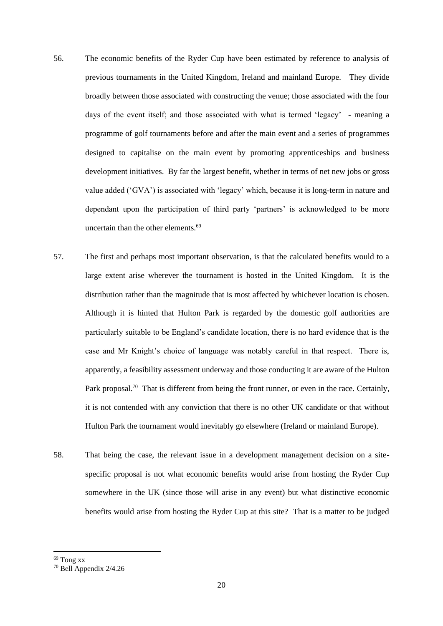- 56. The economic benefits of the Ryder Cup have been estimated by reference to analysis of previous tournaments in the United Kingdom, Ireland and mainland Europe. They divide broadly between those associated with constructing the venue; those associated with the four days of the event itself; and those associated with what is termed 'legacy' - meaning a programme of golf tournaments before and after the main event and a series of programmes designed to capitalise on the main event by promoting apprenticeships and business development initiatives. By far the largest benefit, whether in terms of net new jobs or gross value added ('GVA') is associated with 'legacy' which, because it is long-term in nature and dependant upon the participation of third party 'partners' is acknowledged to be more uncertain than the other elements.<sup>69</sup>
- 57. The first and perhaps most important observation, is that the calculated benefits would to a large extent arise wherever the tournament is hosted in the United Kingdom. It is the distribution rather than the magnitude that is most affected by whichever location is chosen. Although it is hinted that Hulton Park is regarded by the domestic golf authorities are particularly suitable to be England's candidate location, there is no hard evidence that is the case and Mr Knight's choice of language was notably careful in that respect. There is, apparently, a feasibility assessment underway and those conducting it are aware of the Hulton Park proposal.<sup>70</sup> That is different from being the front runner, or even in the race. Certainly, it is not contended with any conviction that there is no other UK candidate or that without Hulton Park the tournament would inevitably go elsewhere (Ireland or mainland Europe).
- 58. That being the case, the relevant issue in a development management decision on a sitespecific proposal is not what economic benefits would arise from hosting the Ryder Cup somewhere in the UK (since those will arise in any event) but what distinctive economic benefits would arise from hosting the Ryder Cup at this site? That is a matter to be judged

<sup>69</sup> Tong xx

<sup>70</sup> Bell Appendix 2/4.26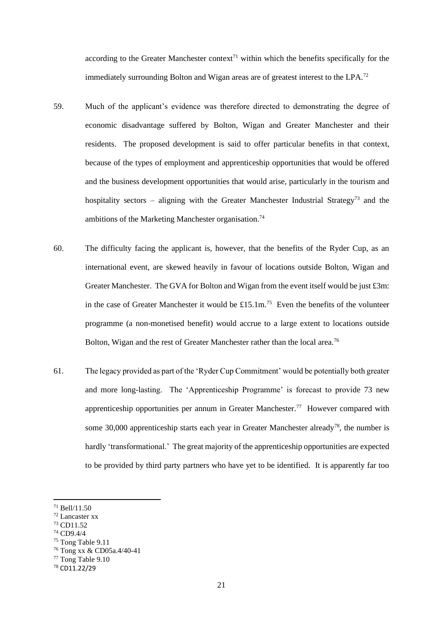according to the Greater Manchester context<sup>71</sup> within which the benefits specifically for the immediately surrounding Bolton and Wigan areas are of greatest interest to the LPA.<sup>72</sup>

- 59. Much of the applicant's evidence was therefore directed to demonstrating the degree of economic disadvantage suffered by Bolton, Wigan and Greater Manchester and their residents. The proposed development is said to offer particular benefits in that context, because of the types of employment and apprenticeship opportunities that would be offered and the business development opportunities that would arise, particularly in the tourism and hospitality sectors – aligning with the Greater Manchester Industrial Strategy<sup>73</sup> and the ambitions of the Marketing Manchester organisation.<sup>74</sup>
- 60. The difficulty facing the applicant is, however, that the benefits of the Ryder Cup, as an international event, are skewed heavily in favour of locations outside Bolton, Wigan and Greater Manchester. The GVA for Bolton and Wigan from the event itself would be just £3m: in the case of Greater Manchester it would be £15.1m.<sup>75</sup> Even the benefits of the volunteer programme (a non-monetised benefit) would accrue to a large extent to locations outside Bolton, Wigan and the rest of Greater Manchester rather than the local area.<sup>76</sup>
- 61. The legacy provided as part of the 'Ryder Cup Commitment' would be potentially both greater and more long-lasting. The 'Apprenticeship Programme' is forecast to provide 73 new apprenticeship opportunities per annum in Greater Manchester.<sup>77</sup> However compared with some 30,000 apprenticeship starts each year in Greater Manchester already<sup>78</sup>, the number is hardly 'transformational.' The great majority of the apprenticeship opportunities are expected to be provided by third party partners who have yet to be identified. It is apparently far too

<sup>71</sup> Bell/11.50

<sup>72</sup> Lancaster xx

<sup>73</sup> CD11.52

<sup>74</sup> CD9.4/4

<sup>75</sup> Tong Table 9.11

<sup>76</sup> Tong xx & CD05a.4/40-41

<sup>77</sup> Tong Table 9.10

<sup>78</sup> CD11.22/29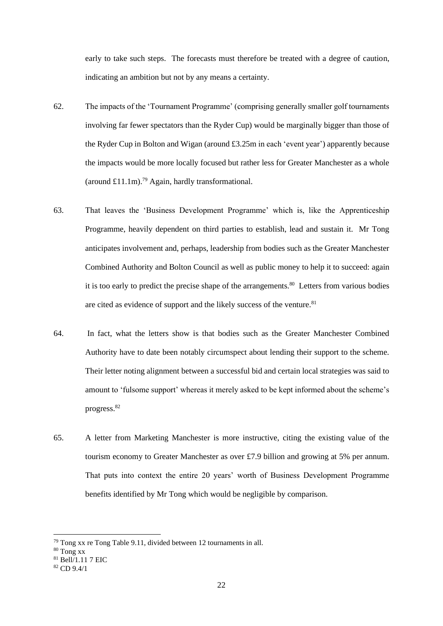early to take such steps. The forecasts must therefore be treated with a degree of caution, indicating an ambition but not by any means a certainty.

- 62. The impacts of the 'Tournament Programme' (comprising generally smaller golf tournaments involving far fewer spectators than the Ryder Cup) would be marginally bigger than those of the Ryder Cup in Bolton and Wigan (around £3.25m in each 'event year') apparently because the impacts would be more locally focused but rather less for Greater Manchester as a whole (around £11.1m).<sup>79</sup> Again, hardly transformational.
- 63. That leaves the 'Business Development Programme' which is, like the Apprenticeship Programme, heavily dependent on third parties to establish, lead and sustain it. Mr Tong anticipates involvement and, perhaps, leadership from bodies such as the Greater Manchester Combined Authority and Bolton Council as well as public money to help it to succeed: again it is too early to predict the precise shape of the arrangements.<sup>80</sup> Letters from various bodies are cited as evidence of support and the likely success of the venture.<sup>81</sup>
- 64. In fact, what the letters show is that bodies such as the Greater Manchester Combined Authority have to date been notably circumspect about lending their support to the scheme. Their letter noting alignment between a successful bid and certain local strategies was said to amount to 'fulsome support' whereas it merely asked to be kept informed about the scheme's progress.<sup>82</sup>
- 65. A letter from Marketing Manchester is more instructive, citing the existing value of the tourism economy to Greater Manchester as over £7.9 billion and growing at 5% per annum. That puts into context the entire 20 years' worth of Business Development Programme benefits identified by Mr Tong which would be negligible by comparison.

<sup>79</sup> Tong xx re Tong Table 9.11, divided between 12 tournaments in all.

<sup>80</sup> Tong xx

 $81$  Bell/1.11 7 EIC

 $82$  CD 9.4/1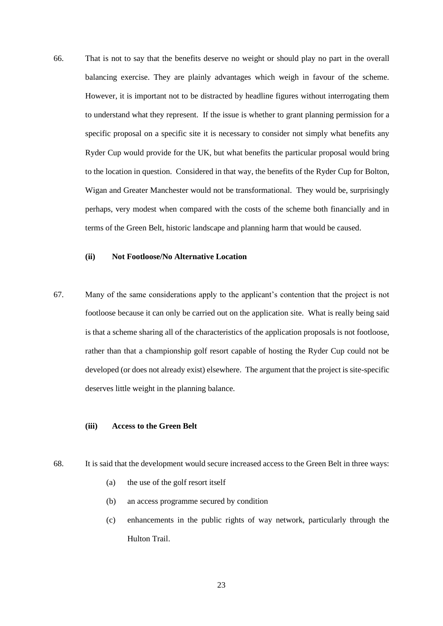66. That is not to say that the benefits deserve no weight or should play no part in the overall balancing exercise. They are plainly advantages which weigh in favour of the scheme. However, it is important not to be distracted by headline figures without interrogating them to understand what they represent. If the issue is whether to grant planning permission for a specific proposal on a specific site it is necessary to consider not simply what benefits any Ryder Cup would provide for the UK, but what benefits the particular proposal would bring to the location in question. Considered in that way, the benefits of the Ryder Cup for Bolton, Wigan and Greater Manchester would not be transformational. They would be, surprisingly perhaps, very modest when compared with the costs of the scheme both financially and in terms of the Green Belt, historic landscape and planning harm that would be caused.

# **(ii) Not Footloose/No Alternative Location**

67. Many of the same considerations apply to the applicant's contention that the project is not footloose because it can only be carried out on the application site. What is really being said is that a scheme sharing all of the characteristics of the application proposals is not footloose, rather than that a championship golf resort capable of hosting the Ryder Cup could not be developed (or does not already exist) elsewhere. The argument that the project is site-specific deserves little weight in the planning balance.

### **(iii) Access to the Green Belt**

- 68. It is said that the development would secure increased access to the Green Belt in three ways:
	- (a) the use of the golf resort itself
	- (b) an access programme secured by condition
	- (c) enhancements in the public rights of way network, particularly through the Hulton Trail.

23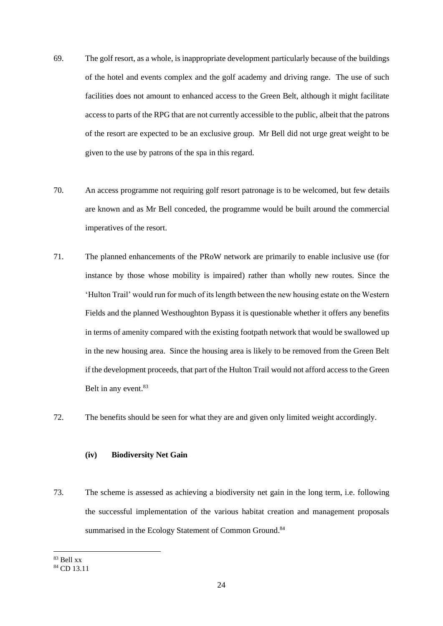- 69. The golf resort, as a whole, is inappropriate development particularly because of the buildings of the hotel and events complex and the golf academy and driving range. The use of such facilities does not amount to enhanced access to the Green Belt, although it might facilitate access to parts of the RPG that are not currently accessible to the public, albeit that the patrons of the resort are expected to be an exclusive group. Mr Bell did not urge great weight to be given to the use by patrons of the spa in this regard.
- 70. An access programme not requiring golf resort patronage is to be welcomed, but few details are known and as Mr Bell conceded, the programme would be built around the commercial imperatives of the resort.
- 71. The planned enhancements of the PRoW network are primarily to enable inclusive use (for instance by those whose mobility is impaired) rather than wholly new routes. Since the 'Hulton Trail' would run for much of its length between the new housing estate on the Western Fields and the planned Westhoughton Bypass it is questionable whether it offers any benefits in terms of amenity compared with the existing footpath network that would be swallowed up in the new housing area. Since the housing area is likely to be removed from the Green Belt if the development proceeds, that part of the Hulton Trail would not afford access to the Green Belt in any event.<sup>83</sup>
- 72. The benefits should be seen for what they are and given only limited weight accordingly.

# **(iv) Biodiversity Net Gain**

73. The scheme is assessed as achieving a biodiversity net gain in the long term, i.e. following the successful implementation of the various habitat creation and management proposals summarised in the Ecology Statement of Common Ground.<sup>84</sup>

<sup>83</sup> Bell xx

<sup>84</sup> CD 13.11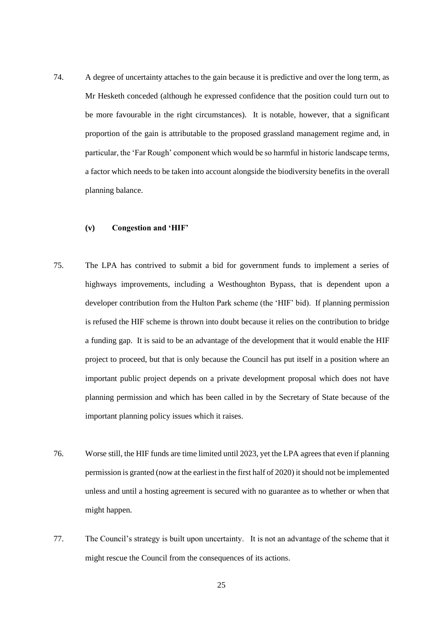74. A degree of uncertainty attaches to the gain because it is predictive and over the long term, as Mr Hesketh conceded (although he expressed confidence that the position could turn out to be more favourable in the right circumstances). It is notable, however, that a significant proportion of the gain is attributable to the proposed grassland management regime and, in particular, the 'Far Rough' component which would be so harmful in historic landscape terms, a factor which needs to be taken into account alongside the biodiversity benefits in the overall planning balance.

## **(v) Congestion and 'HIF'**

- 75. The LPA has contrived to submit a bid for government funds to implement a series of highways improvements, including a Westhoughton Bypass, that is dependent upon a developer contribution from the Hulton Park scheme (the 'HIF' bid). If planning permission is refused the HIF scheme is thrown into doubt because it relies on the contribution to bridge a funding gap. It is said to be an advantage of the development that it would enable the HIF project to proceed, but that is only because the Council has put itself in a position where an important public project depends on a private development proposal which does not have planning permission and which has been called in by the Secretary of State because of the important planning policy issues which it raises.
- 76. Worse still, the HIF funds are time limited until 2023, yet the LPA agrees that even if planning permission is granted (now at the earliest in the first half of 2020) it should not be implemented unless and until a hosting agreement is secured with no guarantee as to whether or when that might happen.
- 77. The Council's strategy is built upon uncertainty. It is not an advantage of the scheme that it might rescue the Council from the consequences of its actions.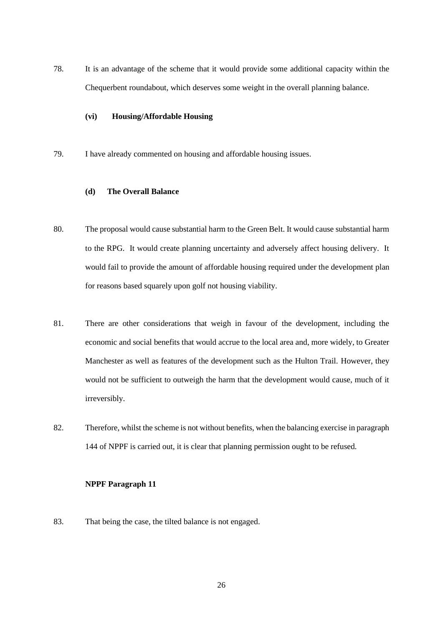78. It is an advantage of the scheme that it would provide some additional capacity within the Chequerbent roundabout, which deserves some weight in the overall planning balance.

### **(vi) Housing/Affordable Housing**

79. I have already commented on housing and affordable housing issues.

# **(d) The Overall Balance**

- 80. The proposal would cause substantial harm to the Green Belt. It would cause substantial harm to the RPG. It would create planning uncertainty and adversely affect housing delivery. It would fail to provide the amount of affordable housing required under the development plan for reasons based squarely upon golf not housing viability.
- 81. There are other considerations that weigh in favour of the development, including the economic and social benefits that would accrue to the local area and, more widely, to Greater Manchester as well as features of the development such as the Hulton Trail. However, they would not be sufficient to outweigh the harm that the development would cause, much of it irreversibly.
- 82. Therefore, whilst the scheme is not without benefits, when the balancing exercise in paragraph 144 of NPPF is carried out, it is clear that planning permission ought to be refused.

## **NPPF Paragraph 11**

83. That being the case, the tilted balance is not engaged.